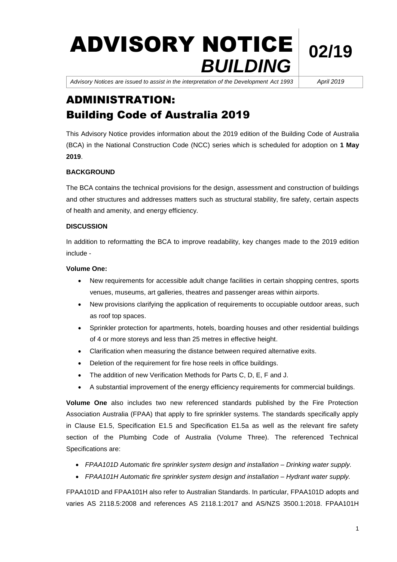# ADVISORY NOTICE *BUILDING*

*Advisory Notices are issued to assist in the interpretation of the Development Act 1993 April 2019*

**02/19**

## ADMINISTRATION: Building Code of Australia 2019

This Advisory Notice provides information about the 2019 edition of the Building Code of Australia (BCA) in the National Construction Code (NCC) series which is scheduled for adoption on **1 May 2019**.

#### **BACKGROUND**

The BCA contains the technical provisions for the design, assessment and construction of buildings and other structures and addresses matters such as structural stability, fire safety, certain aspects of health and amenity, and energy efficiency.

#### **DISCUSSION**

In addition to reformatting the BCA to improve readability, key changes made to the 2019 edition include -

#### **Volume One:**

- New requirements for accessible adult change facilities in certain shopping centres, sports venues, museums, art galleries, theatres and passenger areas within airports.
- New provisions clarifying the application of requirements to occupiable outdoor areas, such as roof top spaces.
- Sprinkler protection for apartments, hotels, boarding houses and other residential buildings of 4 or more storeys and less than 25 metres in effective height.
- Clarification when measuring the distance between required alternative exits.
- Deletion of the requirement for fire hose reels in office buildings.
- The addition of new Verification Methods for Parts C, D, E, F and J.
- A substantial improvement of the energy efficiency requirements for commercial buildings.

**Volume One** also includes two new referenced standards published by the Fire Protection Association Australia (FPAA) that apply to fire sprinkler systems. The standards specifically apply in Clause E1.5, Specification E1.5 and Specification E1.5a as well as the relevant fire safety section of the Plumbing Code of Australia (Volume Three). The referenced Technical Specifications are:

- *FPAA101D Automatic fire sprinkler system design and installation – Drinking water supply.*
- *FPAA101H Automatic fire sprinkler system design and installation – Hydrant water supply.*

FPAA101D and FPAA101H also refer to Australian Standards. In particular, FPAA101D adopts and varies AS 2118.5:2008 and references AS 2118.1:2017 and AS/NZS 3500.1:2018. FPAA101H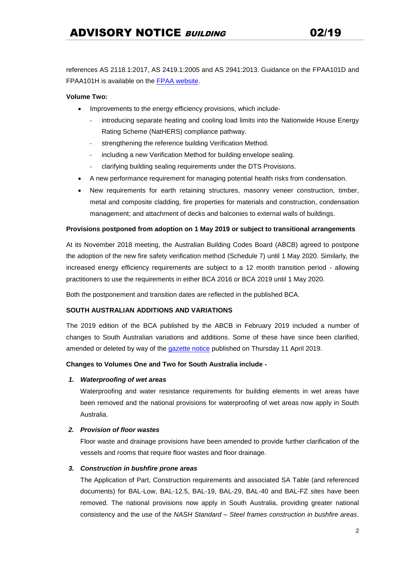references AS 2118.1:2017, AS 2419.1:2005 and AS 2941:2013. Guidance on the FPAA101D and FPAA101H is available on the [FPAA website.](http://www.fpaa.com.au/technical/technical-specifications.aspx)

#### **Volume Two:**

- Improvements to the energy efficiency provisions, which include
	- introducing separate heating and cooling load limits into the Nationwide House Energy Rating Scheme (NatHERS) compliance pathway.
	- strengthening the reference building Verification Method.
	- including a new Verification Method for building envelope sealing.
	- clarifying building sealing requirements under the DTS Provisions.
- A new performance requirement for managing potential health risks from condensation.
- New requirements for earth retaining structures, masonry veneer construction, timber, metal and composite cladding, fire properties for materials and construction, condensation management; and attachment of decks and balconies to external walls of buildings.

#### **Provisions postponed from adoption on 1 May 2019 or subject to transitional arrangements**

At its November 2018 meeting, the Australian Building Codes Board (ABCB) agreed to postpone the adoption of the new fire safety verification method (Schedule 7) until 1 May 2020. Similarly, the increased energy efficiency requirements are subject to a 12 month transition period - allowing practitioners to use the requirements in either BCA 2016 or BCA 2019 until 1 May 2020.

Both the postponement and transition dates are reflected in the published BCA.

#### **SOUTH AUSTRALIAN ADDITIONS AND VARIATIONS**

The 2019 edition of the BCA published by the ABCB in February 2019 included a number of changes to South Australian variations and additions. Some of these have since been clarified, amended or deleted by way of the [gazette notice](http://www.governmentgazette.sa.gov.au/) published on Thursday 11 April 2019.

#### **Changes to Volumes One and Two for South Australia include -**

#### *1. Waterproofing of wet areas*

Waterproofing and water resistance requirements for building elements in wet areas have been removed and the national provisions for waterproofing of wet areas now apply in South Australia.

#### *2. Provision of floor wastes*

Floor waste and drainage provisions have been amended to provide further clarification of the vessels and rooms that require floor wastes and floor drainage.

#### *3. Construction in bushfire prone areas*

The Application of Part, Construction requirements and associated SA Table (and referenced documents) for BAL-Low, BAL-12.5, BAL-19, BAL-29, BAL-40 and BAL-FZ sites have been removed. The national provisions now apply in South Australia, providing greater national consistency and the use of the *NASH Standard – Steel frames construction in bushfire areas*.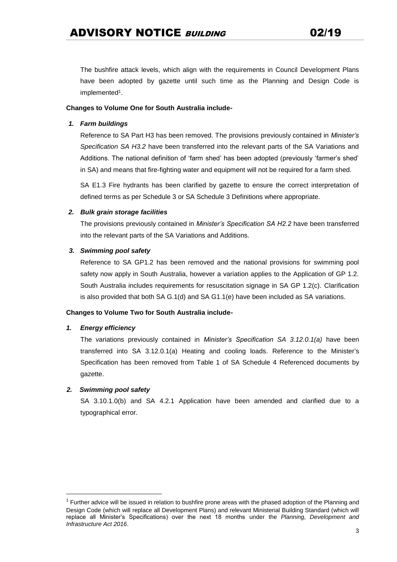The bushfire attack levels, which align with the requirements in Council Development Plans have been adopted by gazette until such time as the Planning and Design Code is implemented<sup>1</sup>.

#### **Changes to Volume One for South Australia include-**

#### *1. Farm buildings*

Reference to SA Part H3 has been removed. The provisions previously contained in *Minister's Specification SA H3.2* have been transferred into the relevant parts of the SA Variations and Additions. The national definition of 'farm shed' has been adopted (previously 'farmer's shed' in SA) and means that fire-fighting water and equipment will not be required for a farm shed.

SA E1.3 Fire hydrants has been clarified by gazette to ensure the correct interpretation of defined terms as per Schedule 3 or SA Schedule 3 Definitions where appropriate.

#### *2. Bulk grain storage facilities*

The provisions previously contained in *Minister's Specification SA H2.2* have been transferred into the relevant parts of the SA Variations and Additions.

#### *3. Swimming pool safety*

Reference to SA GP1.2 has been removed and the national provisions for swimming pool safety now apply in South Australia, however a variation applies to the Application of GP 1.2. South Australia includes requirements for resuscitation signage in SA GP 1.2(c). Clarification is also provided that both SA G.1(d) and SA G1.1(e) have been included as SA variations.

#### **Changes to Volume Two for South Australia include-**

#### *1. Energy efficiency*

The variations previously contained in *Minister's Specification SA 3.12.0.1(a)* have been transferred into SA 3.12.0.1(a) Heating and cooling loads. Reference to the Minister's Specification has been removed from Table 1 of SA Schedule 4 Referenced documents by gazette.

#### *2. Swimming pool safety*

 $\ddot{\phantom{a}}$ 

SA 3.10.1.0(b) and SA 4.2.1 Application have been amended and clarified due to a typographical error.

 $1$  Further advice will be issued in relation to bushfire prone areas with the phased adoption of the Planning and Design Code (which will replace all Development Plans) and relevant Ministerial Building Standard (which will replace all Minister's Specifications) over the next 18 months under the *Planning, Development and Infrastructure Act 2016*.